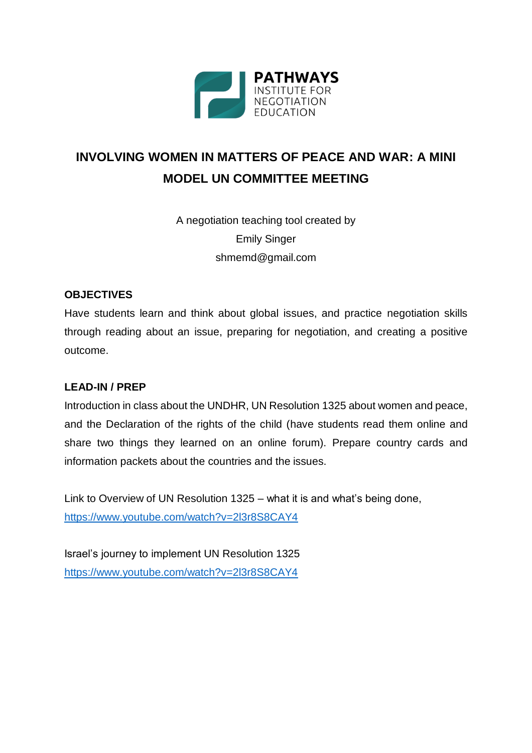

# **INVOLVING WOMEN IN MATTERS OF PEACE AND WAR: A MINI MODEL UN COMMITTEE MEETING**

A negotiation teaching tool created by Emily Singer shmemd@gmail.com

#### **OBJECTIVES**

Have students learn and think about global issues, and practice negotiation skills through reading about an issue, preparing for negotiation, and creating a positive outcome.

# **LEAD-IN / PREP**

Introduction in class about the UNDHR, UN Resolution 1325 about women and peace, and the Declaration of the rights of the child (have students read them online and share two things they learned on an online forum). Prepare country cards and information packets about the countries and the issues.

Link to Overview of UN Resolution 1325 – what it is and what's being done, <https://www.youtube.com/watch?v=2l3r8S8CAY4>

Israel's journey to implement UN Resolution 1325 <https://www.youtube.com/watch?v=2l3r8S8CAY4>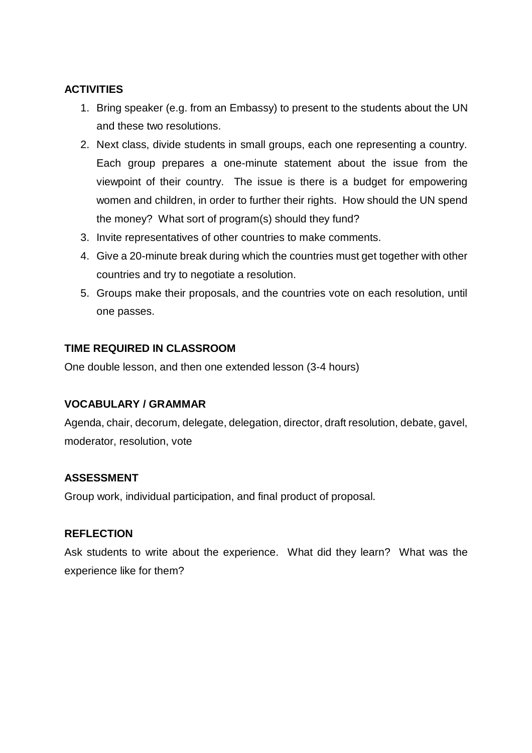# **ACTIVITIES**

- 1. Bring speaker (e.g. from an Embassy) to present to the students about the UN and these two resolutions.
- 2. Next class, divide students in small groups, each one representing a country. Each group prepares a one-minute statement about the issue from the viewpoint of their country. The issue is there is a budget for empowering women and children, in order to further their rights. How should the UN spend the money? What sort of program(s) should they fund?
- 3. Invite representatives of other countries to make comments.
- 4. Give a 20-minute break during which the countries must get together with other countries and try to negotiate a resolution.
- 5. Groups make their proposals, and the countries vote on each resolution, until one passes.

#### **TIME REQUIRED IN CLASSROOM**

One double lesson, and then one extended lesson (3-4 hours)

#### **VOCABULARY / GRAMMAR**

Agenda, chair, decorum, delegate, delegation, director, draft resolution, debate, gavel, moderator, resolution, vote

#### **ASSESSMENT**

Group work, individual participation, and final product of proposal.

# **REFLECTION**

Ask students to write about the experience. What did they learn? What was the experience like for them?